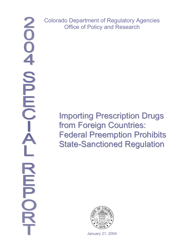Colorado Department of Regulatory Agencies Office of Policy and Research

> Importing Prescription Drugs from Foreign Countries: Federal Preemption Prohibits State-Sanctioned Regulation



January 21, 2004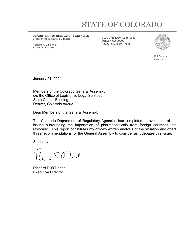# STATE OF COLORADO

**DEPARTMENT OF REGULATORY AGENCIES**  Office of the Executive Director

Richard F. O'Donnell Executive Director

1560 Broadway, Suite 1540 Denver, CO 80202 Phone: (303) 894-7855



Bill Owens Governor

January 21, 2004

Members of the Colorado General Assembly c/o the Office of Legislative Legal Services State Capitol Building Denver, Colorado 80203

Dear Members of the General Assembly:

The Colorado Department of Regulatory Agencies has completed its evaluation of the issues surrounding the importation of pharmaceuticals from foreign countries into Colorado. This report constitutes my office's written analysis of the situation and offers three recommendations for the General Assembly to consider as it debates this issue.

Sincerely,

 $\bigcap_{i\in I} [f, O^i]$ 

Richard F. O'Donnell Executive Director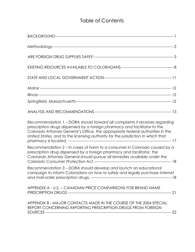## Table of Contents

| Recommendation 1 - DORA should forward all complaints it receives regarding<br>prescription drugs dispensed by a foreign pharmacy and facilitator to the<br>Colorado Attorney General's Office, the appropriate federal authorities in the<br>United States, and to the licensing authority for the jurisdiction in which that |  |
|--------------------------------------------------------------------------------------------------------------------------------------------------------------------------------------------------------------------------------------------------------------------------------------------------------------------------------|--|
| Recommendation 2 – In cases of harm to a consumer in Colorado caused by a<br>prescription drug dispensed by a foreign pharmacy and facilitator, the<br>Colorardo Attorney General should pursue all remedies available under the                                                                                               |  |
| Recommendation 3 - DORA should develop and launch an educational<br>campaign to inform Coloradans on how to safely and legally purchase Internet                                                                                                                                                                               |  |
| APPENDIX A - U.S. - CANADIAN PRICE COMPARISONS FOR BRAND NAME                                                                                                                                                                                                                                                                  |  |
| APPENDIX B - MAJOR CONTACTS MADE IN THE COURSE OF THE 2004 SPECIAL<br>REPORT CONCERNING IMPORTING PRESCRIPTION DRUGS FROM FOREIGN                                                                                                                                                                                              |  |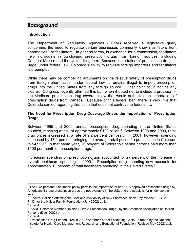## <span id="page-3-0"></span>*Background*

#### **Introduction**

The Department of Regulatory Agencies (DORA) received a legislative query concerning the need to regulate certain businesses commonly known as "store front pharmacies," or facilitators. In general terms, in exchange for a commission, facilitators help individuals in purchasing prescription drugs from foreign sources, including Canada, Mexico and the United Kingdom. Because importation of prescription drugs is illegal under federal law, Colorado's ability to regulate foreign importers and facilitators is preempted.

While there may be compelling arguments on the relative safety of prescription drugs from foreign pharmacies, under federal law, it remains illegal to import prescription drugs into the United States from any foreign source.<sup>[1](#page-3-1)</sup> That point could not be any clearer. Congress recently affirmed this ban when it opted not to include a provision in the Medicare prescription drug coverage law that would authorize the importation of prescription drugs from Canada. Because of this federal ban, there is very little that Colorado can do regarding this issue that does not contravene federal law.

#### **The Need for Prescription Drug Coverage Drives the Importation of Prescription Drugs**

Between 1995 and 2000, annual prescription drug spending in the United States doubled, reaching a total of approximately \$1[2](#page-3-2)2 billion.<sup>2</sup> Between 1998 and 2000, retail drug prices increased at a rate of 9.2 percent per year. $3\,$  $3\,$  In 2001, however, spending increased by 17.1 percent, bringing the average retail price of a prescription in Colorado to \$[4](#page-3-4)7.99.<sup>4</sup> In that same year, 26 percent of Colorado's senior citizens paid more than \$100 per month on prescription drugs.<sup>[5](#page-3-5)</sup>

Increasing spending on prescription drugs accounted for 27 percent of the increase in overall healthcare spending in 2000.<sup>[6](#page-3-6)</sup> Prescription drug spending now accounts for approximately 10 percent of total healthcare spending in the United States.<sup>[7](#page-3-7)</sup>

l

<span id="page-3-1"></span> $1$  The FDA personal-use import policy permits the importation of non-FDA approved prescription drugs by Americans if those prescription drugs are not available in the U.S. and the supply is for ninety days or less.

<span id="page-3-2"></span> $2$  "Federal Policies Affecting the Cost and Availability of New Pharmaceuticals," by Michael E. Gluck, Ph.D. for the Kaiser Family Foundation (July 2002) at 1. 3

<span id="page-3-3"></span>Id. at 4.

<span id="page-3-4"></span><sup>&</sup>lt;sup>4</sup> "AARP Colorado Member Opinion Survey: Prescription Drugs," by the American Association of Retired Persons (Dec. 2002) at 1. 5

<span id="page-3-5"></span> $<sup>5</sup>$  Id. at 4.</sup>

<span id="page-3-7"></span><span id="page-3-6"></span> $6\overline{P}$  rescription Drug Expenditures in 2001: Another Year of Escalating Costs," a report by the National Institute for Health Care Management Research and Educational Foundation (Revised May 2002) at 2. Id.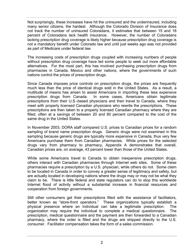Not surprisingly, these increases have hit the uninsured and the underinsured, including many senior citizens, the hardest. Although the Colorado Division of Insurance does not track the number of uninsured Coloradans, it estimates that between 15 and 18 percent of Coloradans lack health insurance. However, the number of Coloradans lacking prescription drug coverage is likely higher because prescription drug coverage is not a mandatory benefit under Colorado law and until just weeks ago was not provided as part of Medicare under federal law.

The increasing costs of prescription drugs coupled with increasing numbers of people without prescription drug coverage have led some people to seek out more affordable alternatives. For the most part, this has involved purchasing prescription drugs from pharmacies in Canada, Mexico and other nations, where the governments of such nations control the prices of prescription drugs.

Since Canada imposes price controls on prescription drugs, the prices are frequently much less than the price of identical drugs sold in the United States. As a result, a multitude of means has arisen to assist Americans in importing these less expensive prescription drugs from Canada. In some cases, Americans obtain legitimate prescriptions from their U.S.-based physicians and then travel to Canada, where they meet with properly licensed Canadian physicians who rewrite the prescriptions. These prescriptions are then taken to a properly licensed Canadian pharmacy where they are filled, often at a savings of between 20 and 80 percent compared to the cost of the same drug in the United States.

In November 2003, DORA staff compared U.S. prices to Canadian prices for a random sampling of brand name prescription drugs. Generic drugs were not examined in this sampling because generic drugs are typically more expensive in Canada, thus very few Americans purchase them from Canadian pharmacies. While prices for the selected drugs vary from pharmacy to pharmacy, Appendix A demonstrates that overall, Canadian prices are, on average, 43 percent lower than those of the United States.

While some Americans travel to Canada to obtain inexpensive prescription drugs, others interact with Canadian pharmacies through Internet web sites. Some of these pharmacies require a prescription by a U.S. physician, while others do not. Some claim to be located in Canada in order to convey a greater sense of legitimacy and safety, but are actually located in developing nations where the drugs may or may not be what they claim to be. There is little federal and state regulators can do to stop this worldwide Internet flood of activity without a substantial increase in financial resources and cooperation from foreign governments.

Still other consumers get their prescriptions filled with the assistance of facilitators, better known as "store-front operators." These organizations typically establish a physical presence where an individual can take a legitimate prescription. The organization may require the individual to complete a medical questionnaire. The prescription, medical questionnaire and the payment are then forwarded to a Canadian pharmacy, where the order is filled and the drugs are shipped directly to the U.S. consumer. Facilitator compensation takes the form of a sales commission.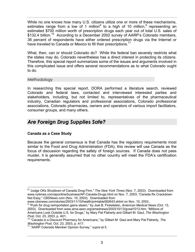<span id="page-5-0"></span>While no one knows how many U.S. citizens utilize one or more of these mechanisms, estimates range from a low of 1 million<sup>[8](#page-5-1)</sup> to a high of 10 million, <sup>[9](#page-5-2)</sup> representing an estimated \$700 million worth of prescription drugs each year out of total U.S. sales of \$132.4 billion.<sup>10</sup> According to a December 2002 survey of AARP's Colorado members, 36 percent of respondents have either ordered prescription drugs via the Internet or have traveled to Canada or Mexico to fill their prescriptions.<sup>[11](#page-5-4)</sup>

What, then, can or should Colorado do? While the federal ban severely restricts what the states may do, Colorado nevertheless has a direct interest in protecting its citizens. Therefore, this special report summarizes some of the issues and arguments involved in this complicated issue and offers several recommendations as to what Colorado ought to do.

#### Methodology

In researching this special report, DORA performed a literature search, reviewed Colorado and federal laws, contacted and interviewed interested parties and stakeholders, including, but not limited to, representatives of the pharmaceutical industry, Canadian regulators and professional associations, Colorado professional associations, Colorado pharmacies, owners and operators of various import facilitators, consumer groups, and many others.

### *Are Foreign Drug Supplies Safe?*

#### **Canada as a Case Study**

l

Because the general consensus is that Canada has the regulatory requirements most similar to the Food and Drug Administration (FDA), this review will use Canada as the focus of discussion regarding the safety of foreign sources. If Canada does not pass muster, it is generally assumed that no other country will meet the FDA's certification requirements.

<span id="page-5-1"></span><sup>8</sup> "Judge OKs Shutdown of Canada Drug Firm," *The New York Times* (Nov. 7, 2003). Downloaded from www.nytimes.com/aponline/business/AP-Canada-Drugs.html on Nov. 7, 2003; "Canada Rx Crackdown Not Easy," *CBSNews.com* (Nov. 10, 2003). Downloaded from

www.cbsnews.com/stories/2003/11/10/health/printable582643.shtml on Nov. 10, 2003..

<span id="page-5-2"></span><sup>9</sup> "Push for drug reimportation gains steam," by Joel B. Finkelstein, *American Medical News* (Oct. 13, 2003). Downloaded from www.ama-assn.org/amednews/2003/10/13/gvsal1013.htm; "Millions of Americans Look Outside U.S. for Drugs," by Mary Pat Flaherty and Gilbert M. Gaul, *The Washington* 

<span id="page-5-3"></span>*Post*, Oct. 23, 2003, p. A01.<br><sup>10</sup> "Canada is a Discount Pharmacy for Americans," by Gilbert M. Gaul and Mary Pat Flaherty, *The Washington Post, Oct. 23, 2003, p. A17.* 11 "AARP Colorado Member Opinion Survey," *supra* at 5.

<span id="page-5-4"></span>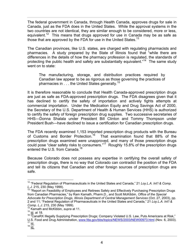The federal government in Canada, through Health Canada, approves drugs for sale in Canada, just as the FDA does in the United States. While the approval systems in the two countries are not identical, they are similar enough to be considered, more or less, equivalent.<sup>12</sup> This means that drugs approved for use in Canada may be as safe as those that are approved by the FDA for use in the United States.<sup>[13](#page-6-1)</sup>

The Canadian provinces, like U.S. states, are charged with regulating pharmacists and pharmacies. A study prepared by the State of Illinois found that "while there are differences in the details of how the pharmacy profession is regulated, the standards of protecting the public health and safety are substantially equivalent."<sup>14</sup> The same study went on to state:

The manufacturing, storage, and distribution practices required by Canadian law appear to be as rigorous as those governing the practices of pharmacies in . . . the United States generally.<sup>[15](#page-6-3)</sup>

It is therefore reasonable to conclude that Health Canada-approved prescription drugs are just as safe as FDA-approved prescription drugs. The FDA disagrees given that it has declined to certify the safety of importation and actively fights attempts at commercial importation. Under the Medication Equity and Drug Savings Act of 2000, the Secretary of the U.S. Department of Health & Human Services (HHS) is authorized to certify the safety of foreign prescription drug supplies. Two successive secretaries of HHS—Donna Shalala under President Bill Clinton and Tommy Thompson under President Bush—have declined to issue a certification for Canadian prescription drugs.

The FDA recently examined 1,153 imported prescription drug products with the Bureau of Customs and Border Protection.[16](#page-6-4) That examination found that 88% of the prescription drugs examined were unapproved, and many of those prescription drugs could pose "clear safety risks to consumers."<sup>17</sup> Roughly 15.8% of the prescription drugs entered the U.S. from Canada.<sup>[18](#page-6-6)</sup>

Because Colorado does not possess any expertise in certifying the overall safety of prescription drugs, there is no way that Colorado can contradict the position of the FDA and tell its citizens that Canadian and other foreign sources of prescription drugs are safe.

<span id="page-6-0"></span> <sup>12 &</sup>quot;Federal Regulation of Pharmaceuticals in the United States and Canada," 21 *Loy.L.A. Int'l & Comp.* 

<span id="page-6-1"></span>*L.J.* 215, 230 (May 1999).<br><sup>13</sup> "Report on Feasibility of Employees and Retirees Safely and Effectively Purchasing Prescription Drugs from Canadian Pharmacies," by Ram Kamath, Pharm.D., and Scott McKibbin, *Office of the Special Advocate for Prescription Drugs, Illinois Department of Central Management Services* (Oct. 27, 2003), pp. 2 and 11; "Federal Regulation of Pharmaceuticals in the United States and Canada," 21 *Loy.L.A. Int'l &* 

<span id="page-6-2"></span><sup>&</sup>lt;sup>14</sup> Kamath and McKibbin, *supra* at 11.

<span id="page-6-3"></span><sup>15</sup> Id. at 18.

<span id="page-6-4"></span><sup>&</sup>lt;sup>16</sup> "CanaRX Illegally Supplying Prescription Drugs; Company Violated U.S. Law, Puts Americans at Risk," U.S. Food and Drug Administration, [www.fda.gov/bbs/topics/NEWS/2003/NEW00973.html](http://www.fda.gov/bbs/topics/NEWS/2003/NEW00973.html) (Nov. 6, 2003).<br><sup>17</sup> Id.<br><sup>18 Id.</sup>

<span id="page-6-6"></span><span id="page-6-5"></span>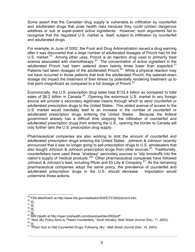Some assert that the Canadian drug supply is vulnerable to infiltration by counterfeit and adulterated drugs that pose health risks because they could contain dangerous additives or sub or super-potent active ingredients. However, such arguments fail to recognize that the regulated U.S. market is, itself, subject to infiltration by counterfeit and adulterated drugs.

For example, in June of 2002, the Food and Drug Administration issued a drug warning after it was discovered that a large number of adulterated dosages of Procrit had hit the U.S. market.<sup>19</sup> Among other uses, Procrit is an injection drug used to primarily treat anemia associated with chemotherapy.<sup>20</sup> The concentration of active ingredient in the adulterated Procrit had been watered down twenty times lower than expected. $21$ Patients had taken dosages of the adulterated Procrit.<sup>22</sup> While a physical reaction may not have occurred in those patients that took the adulterated Procrit, the watered-down dosage did impact the treatment of their illness by potentially rendering treatment up to that point insignificant as compared to a full dosage of Procrit. $^{23}$  $^{23}$  $^{23}$ 

Economically, the U.S. prescription drug sales total \$132.4 billion as compared to total sales of \$6.2 billion in Canada.<sup>24</sup> Opening the enormous U.S. market to any foreign source will provide a secondary legitimate means through which to send counterfeit or adulterated prescription drugs to the United States. This added avenue of access to the U.S. market would inevitably lead to an increase in the number of counterfeit or adulterated prescription drugs entering the United States. Because the federal government already has a difficult time stopping the infiltration of counterfeit and adulterated prescription drugs from entering the U.S., opening the border to Canada will only further taint the U.S. prescription drug supply.

Pharmaceutical companies are also working to limit the amount of counterfeit and adulterated prescription drugs entering the United States. Johnson & Johnson recently announced that it was no longer going to sell prescription drugs to U.S. wholesalers that also bought Johnson & Johnson prescription drugs from other sources.<sup>25</sup> Traditionally, counterfeiters have used these "shadowy" secondary sources to "slip knockoffs into the nation's supply of medical products.<sup>"26</sup> Other pharmaceutical companies have followed Johnson & Johnson's lead, including Pfizer and Eli Lilly & Company.<sup>27</sup> As the remaining pharmaceutical companies adopt the same policy, the prevalence of counterfeit and adulterated prescription drugs in the U.S. should decrease. Importation would undermine those actions.

<span id="page-7-3"></span>

<span id="page-7-0"></span>

<span id="page-7-1"></span>

<span id="page-7-2"></span>

<span id="page-7-4"></span>

<span id="page-7-6"></span><span id="page-7-5"></span>

<sup>&</sup>lt;sup>19</sup> FDA MedWatch at http://www.fda.gov/medwatch/SAFETY/2002/procrit.htm.<br>
<sup>20</sup> Id.<br>
<sup>21</sup> Id.<br>
<sup>22</sup> Id.<br>
<sup>23</sup> Id.<br>
<sup>24</sup> IMS Health at http://open.imshealth.com/download/dec2002pdf\*.<br>
<sup>25</sup> "New J&J Policy Aims to Thwart Co

<span id="page-7-8"></span><span id="page-7-7"></span>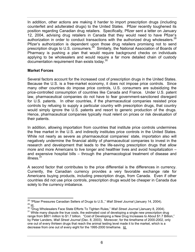In addition, other actions are making it harder to import prescription drugs (including counterfeit and adulterated drugs) to the United States. Pfizer recently toughened its position regarding Canadian drug retailers. Specifically, Pfizer sent a letter on January 12, 2004, advising drug retailers in Canada that they would need to have Pfizer's authorization in order to conduct transactions with the authorized drug wholesalers.<sup>28</sup> Pfizer's authorization is dependent upon those drug retailers promising not to send prescription drugs to U.S. consumers.<sup>29</sup> Similarly, the National Association of Boards of Pharmacy is pushing a plan that would require background checks on individuals applying to be wholesalers and would require a far more detailed chain of custody documentation requirement than exists today[.30](#page-8-2)

#### **Market Forces**

Several factors account for the increased cost of prescription drugs in the United States. Because the U.S. is a free-market economy, it does not impose price controls. Since many other countries do impose price controls, U.S. consumers are subsidizing the price-controlled consumption of countries like Canada and France. Under U.S. patent law, pharmaceutical companies do not have to fear government-sanctioned disregard for U.S. patents. In other countries, if the pharmaceutical companies resisted price controls by refusing to supply a particular country with prescription drugs, that country would simply ignore the U.S. patents and resort to generic production of the drugs. Hence, pharmaceutical companies typically must relent on prices or risk devaluation of their patents.

In addition, allowing importation from countries that institute price controls undermines the free market in the U.S. and indirectly institutes price controls in the United States. While not nearly as severe as pharmaceutical companies' state, importation also will negatively undermine the financial ability of pharmaceutical companies to invest in the research and development that leads to the life-saving prescription drugs that allow more and more Americans to live longer and healthier lives and avoid hospitalization – and expensive hospital bills – through the pharmacological treatment of disease and illness.<sup>[31](#page-8-3)</sup>

A second factor that contributes to the price differential is the differences in currency. Currently, the Canadian currency provides a very favorable exchange rate for Americans buying products, including prescription drugs, from Canada. Even if other countries did not use price controls, prescription drugs would be cheaper in Canada due solely to the currency imbalance.

<span id="page-8-0"></span><sup>&</sup>lt;sup>28</sup> "Pfizer Pressures Canadian Sellers of Drugs to U.S.," Wall Street Journal (January 14, 2004).<br><sup>29</sup> <u>Id.</u><br><sup>30</sup> "Drug Wholesalers Face State Efforts To Tighten Rules," Wall Street Journal (January 8, 2004).<br><sup>31</sup> While

<span id="page-8-2"></span><span id="page-8-1"></span>

<span id="page-8-3"></span>range from \$801 million to \$1.7 billion. "Cost of Developing a New Drug Increases to About \$1.7 Billion," by Peter Landers, *Wall Street Journal* (Dec. 8, 2003). Moreover, for the timeframe of 2000-2002, only one out of every thirteen drugs that reach the animal testing level made it to the market, which is a decrease from one out of every eight for the 1995-2000 timeframe. Id.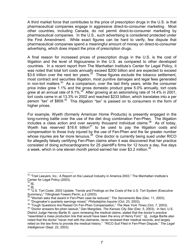A third market force that contributes to the price of prescription drugs in the U.S. is that pharmaceutical companies engage in aggressive direct-to-consumer marketing. Most other countries, including Canada, do not permit direct-to-consumer marketing by pharmaceutical companies. In the U.S., such advertising is considered protected under the First Amendment. While exact figures can be hard to verify, few dispute that pharmaceutical companies spend a meaningful amount of money on direct-to-consumer advertising, which does impact the price of prescription drugs.

A final reason for increased prices of prescription drugs in the U.S. is the cost of litigation and the level of litigiousness in the U.S. as compared to other developed countries. In a recent report from The Manhattan Institute's Center for Legal Policy, it was noted that total tort costs annually exceed \$200 billion and are expected to exceed \$3.6 trillion over the next ten years. $3^2$  These figures exclude the tobacco settlement, most contract and securities litigation, most punitive damages and legal fees generated in non-tort matters.<sup>33</sup> As a comparison, over the last thirty years, while the consumer price index grew 1.1% and the gross domestic product grew 5.0% annually, tort costs grew at an annual rate of  $9.1\%$ .<sup>34</sup> After growing at an astonishing rate of 14.4% in 2001, tort costs came in at 13.3% in 2002 and reached \$233 billion, which translates into a per person "tax" of \$809.<sup>35</sup> This litigation "tax" is passed on to consumers in the form of higher prices.

For example, Wyeth (formerly American Home Products) is presently engaged in the long-running battle over the use of the diet drug combination Fen-Phen. The litigation includes a class action and over seventy thousand individual claims.[36](#page-9-4) As of today, Wyeth has reserved  $$16.6$  billion<sup>37</sup> to be used to pay the litigation costs and compensation to those truly injured by the use of Fen-Phen and the far greater number whose injuries are far more tenuous.<sup>38</sup> One doctor is currently being sued under RICO for allegedly falsely certifying Fen-Phen claims when it was discovered that her practice consisted of doing echocardiograms for 25 plaintiff's firms for 12 hours a day, five days a week, which in one eleven month period earned her over \$3.2 million.<sup>39</sup>

<span id="page-9-0"></span><sup>&</sup>lt;sup>32</sup> "Trail Lawyers, Inc.: A Report on the Lawsuit Industry in America 2003," The Manhattan Institute's Center for Legal Policy (2003).<br>
<sup>33</sup> ld.

<span id="page-9-1"></span>

<span id="page-9-3"></span><span id="page-9-2"></span>

 $\frac{34}{34}$  <u>Id.</u><br><sup>35</sup> "U.S. Tort Costs: 2003 Update: Trends and Findings on the Costs of the U.S. Tort System (Executive<br>Summary)," Tillinghast-Towers Perrin, p.2 (2003).

<span id="page-9-4"></span>

<span id="page-9-7"></span><span id="page-9-6"></span><span id="page-9-5"></span>

<sup>&</sup>lt;sup>36</sup> "Woman asks that award in Fen-Phen case be reduced," The Sacramento Bee (Dec. 11, 2003).<br><sup>37</sup> "Drugmaker's quarterly earnings mixed," *Philadelphia Inquirer* (Oct. 23, 2003).<br><sup>38</sup> "Tough Questions Are Raised On Fen-P District Judge Harvey Bartle III, upon reviewing the medical claims, stated that the doctor's practice "resembled a mass production line that would have been the envy of Henry Ford." Id. Judge Bartle also noted that the doctor "never met with the claimants, never reviewed their medical records, and largely relied on the law firms to provide the medical history." "RICO Suit Filed in Fen-Phen Dispute," *The Legal Intelligencer* (Sept. 22, 2003).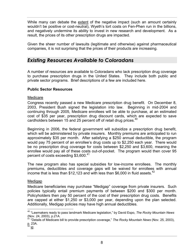<span id="page-10-0"></span>While many can debate the extent of the negative impact (such an amount certainly wouldn't be positive or cost-neutral), Wyeth's tort costs on Fen-Phen run in the billions, and negatively undermine its ability to invest in new research and development. As a result, the prices of its other prescription drugs are impacted.

Given the sheer number of lawsuits (legitimate and otherwise) against pharmaceutical companies, it is not surprising that the prices of their products are increasing.

### *Existing Resources Available to Coloradans*

A number of resources are available to Coloradans who lack prescription drug coverage to purchase prescription drugs in the United States. They include both public and private sector programs. Brief descriptions of a few are included here.

#### **Public Sector Resources**

#### Medicare

Congress recently passed a new Medicare prescription drug benefit. On December 8, 2003, President Bush signed the legislation into law. Beginning in mid-2004 and continuing through 2005, Medicare enrollees will be able to purchase, at an estimated cost of \$35 per year, prescription drug discount cards, which are expected to save cardholders between 15 and 25 percent off of retail drug prices.<sup>40</sup>

Beginning in 2006, the federal government will subsidize a prescription drug benefit, which will be administered by private insurers. Monthly premiums are anticipated to run approximately \$35 per month. After satisfying a \$250 annual deductible, the program would pay 75 percent of an enrollee's drug costs up to \$2,250 each year. There would be no prescription drug coverage for costs between \$2,250 and \$3,600, meaning the enrollee would pay all of these costs out-of-pocket. The program would then cover 95 percent of costs exceeding \$3,600.<sup>[41](#page-10-2)</sup>

The new program also has special subsidies for low-income enrollees. The monthly premiums, deductibles and coverage gaps will be waived for enrollees with annual income that is less than \$12,123 and with less than \$6,000 in fluid assets.<sup>[42](#page-10-3)</sup>

#### Medigap

Medicare beneficiaries may purchase "Medigap" coverage from private insurers. Such policies typically entail premium payments of between \$200 and \$300 per month. Policyholders then pay 50 percent of the cost of their prescription drug costs. Benefits are capped at either \$1,250 or \$3,000 per year, depending upon the plan selected. Additionally, Medigap policies may have high annual deductibles.

<span id="page-10-1"></span><sup>&</sup>lt;sup>40</sup> "Lawmakers ready to pass landmark Medicare legislation," by David Espo, *The Rocky Mountain News*<br>(Nov. 24, 2003), p.21A.<br><sup>41</sup> "Dotaila of Madissas bill to seculor

<span id="page-10-2"></span><sup>(</sup>Nov. 24, 2003), p.21A. 41 "Details of Medicare bill to provide prescription coverage," *The Rocky Mountain News* (Nov. 25, 2003), p. 23A.

<span id="page-10-3"></span><sup>&</sup>lt;sup>42</sup> ld.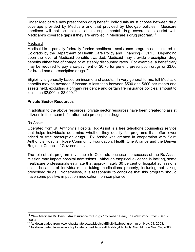Under Medicare's new prescription drug benefit, individuals must choose between drug coverage provided by Medicare and that provided by Medigap policies. Medicare enrollees will not be able to obtain supplemental drug coverage to assist with Medicare's coverage gaps if they are enrolled in Medicare's drug program.<sup>[43](#page-11-0)</sup>

#### Medicaid

Medicaid is a partially federally funded healthcare assistance program administered in Colorado by the Department of Health Care Policy and Financing (HCPF). Depending upon the level of Medicaid benefits awarded, Medicaid may provide prescription drug benefits either free of charge or at steeply discounted rates. For example, a beneficiary may be required to pay a co-payment of \$0.75 for generic prescription drugs or \$3.00 for brand name prescription drugs.<sup>[44](#page-11-1)</sup>

Eligibility is generally based on income and assets. In very general terms, full Medicaid benefits may be awarded if income is less than between \$500 and \$600 per month and assets held, excluding a primary residence and certain life insurance policies, amount to less than \$2,000 or \$3,000.[45](#page-11-2)

#### **Private Sector Resources**

In addition to the above resources, private sector resources have been created to assist citizens in their search for affordable prescription drugs.

#### Rx Assist

Operated from St. Anthony's Hospital, Rx Assist is a free telephone counseling service that helps individuals determine whether they qualify for programs that offer lower priced or free prescription drugs. Rx Assist was created in cooperation with Saint Anthony's Hospital, Rose Community Foundation, Health One Alliance and the Denver Regional Council of Governments.

The role of this program is valuable to Colorado because the success of the Rx Assist mission may impact hospital admissions. Although empirical evidence is lacking, some healthcare professionals estimate that approximately 30 percent of hospital admissions occur because of individuals not taking medications properly, including not taking prescribed drugs. Nonetheless, it is reasonable to conclude that this program should have some positive impact on medication non-compliance.

<span id="page-11-0"></span> <sup>43 &</sup>quot;New Medicare Bill Bars Extra Insurance for Drugs," by Robert Pear, *The New York Times* (Dec. 7,

<span id="page-11-1"></span><sup>2003). 44</sup> As downloaded from www.chcpf.state.co.us/MedicaidEligibility/brochure.htm on Nov. 24, 2003.

<span id="page-11-2"></span><sup>45</sup> As downloaded from www.chcpf.state.co.us/MedicaidEligibility/EligibilityChart.htm on Nov. 24, 2003.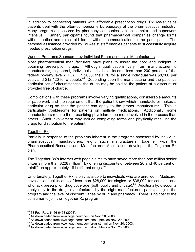In addition to connecting patients with affordable prescription drugs, Rx Assist helps patients deal with the often-cumbersome bureaucracy of the pharmaceutical industry. Many programs sponsored by pharmacy companies can be complex and paperwork intensive. Further, participants found that pharmaceutical companies change forms without notice and reject old forms without communication to the participant. The personal assistance provided by Rx Assist staff enables patients to successfully acquire needed prescription drugs.

#### Various Programs Sponsored by Individual Pharmaceuticals Manufacturers

Most pharmaceutical manufacturers have plans to assist the poor and indigent in obtaining prescription drugs. Although qualifications vary from manufacturer to manufacturer, in general, individuals must have income less than 200 percent of the federal poverty level (FPL). In 2003, the FPL for a single individual was \$8,980 per year, and \$12,120 for a couple.<sup>46</sup> Depending upon the manufacturer and the patient's particular set of circumstances, the drugs may be sold to the patient at a discount or provided free of charge.

Complications with these programs involve varying qualifications, considerable amounts of paperwork and the requirement that the patient know which manufacturer makes a particular drug so that the patient can apply to the proper manufacturer. This is particularly troublesome for patients on multiple medications. Additionally, some manufacturers require the prescribing physician to be more involved in the process than others. Such involvement may include completing forms and physically receiving the drugs for distribution to the patient.

#### Together Rx

Partially in response to the problems inherent in the programs sponsored by individual pharmaceutical manufacturers, eight such manufacturers, together with the Pharmaceutical Research and Manufacturers Association, developed the Together Rx plan.

The Together Rx's Internet web page claims to have saved more than one million senior citizens more than \$228 million<sup>47</sup> by offering discounts of between 20 and 40 percent off retail<sup>48</sup> on approximately 181 different drugs.<sup>[49](#page-12-3)</sup>

Unfortunately, Together Rx is only available to individuals who are enrolled in Medicare, have an annual income of less than \$28,000 for singles or \$38,000 for couples, and who lack prescription drug coverage (both public and private).<sup>50</sup> Additionally, discounts apply only to the drugs manufactured by the eight manufacturers participating in the program and the level of discount varies by drug and pharmacy. There is no cost to the consumer to join the Together Rx program.

<span id="page-12-1"></span><span id="page-12-0"></span>

 $46$  68 Fed. Reg. 6456-6458 (2003).<br> $47$  As downloaded from www.togetherrx.com on Nov. 20, 2003.

<span id="page-12-2"></span><sup>48</sup> As downloaded from www.togetherrx.com/about.html on Nov. 20, 2003.

<span id="page-12-3"></span><sup>49</sup> As downloaded from www.togetherrx.com/druglist.html on Nov. 20, 2003.

<span id="page-12-4"></span><sup>50</sup> As downloaded from www.togetherrx.com/about.html on Nov. 20, 2003.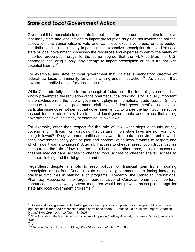## <span id="page-13-0"></span>*State and Local Government Action*

Given that it is impossible to separate the political from the prudent, it is naïve to believe that many state and local actions to import prescription drugs do not involve the political calculation that senior citizens vote and want less expensive drugs, or that budget shortfalls can be made up by importing less-expensive prescription drugs. Unless a state or local government possesses the resources and expertise to certify the safety of imported prescription drugs to the same degree that the FDA certifies the U.S. pharmaceutical drug supply, any attempt to import prescription drugs is fraught with potential liability.<sup>51</sup>

For example, any state or local government that violates a mandatory directive of federal law loses all immunity for claims arising under that action.<sup>52</sup> As a result, that government entity is liable for all damages. $53$ 

While Colorado fully supports the concept of federalism, the federal government has wholly pre-empted the regulation of the pharmaceutical drug industry. Equally important is the exclusive role the federal government plays in international trade issues. Simply because a state or local government dislikes the federal government's position on a particular issue does not permit that government entity to ignore the law. Such selective respect for the rule of law by state and local governments undermines that acting government's own legitimacy at enforcing its own laws.

For example, other than respect for the rule of law, what stops a county or city government in Illinois from deciding that certain Illinois state laws are not worthy of being followed? Do government entities really want to create an environment in which each government entity gets to pick and choose which laws it wants to respect and which laws it wants to ignore? After all, if access to cheaper prescription drugs justifies disregarding the rule of law, than so should countless other items, including access to cheaper medical care, access to cheaper food, access to cheaper shelter, access to cheaper clothing and the list goes on and on.

Regardless, despite attempts to reap political or financial gain from importing prescription drugs from Canada, state and local governments are facing increasing practical difficulties in starting such programs. Recently, the Canadian International Pharmacy Association, the largest representative of Canadian pharmacy importers, announced that its twenty-seven members would not provide prescription drugs for state and local government programs.<sup>54</sup>

<span id="page-13-1"></span>l <sup>51</sup> States and local governments that engage in the importation of prescription drugs could face private legal actions if imported prescription drugs harm consumers. "States to Help Citizens Import Canadian Drugs," *Wall Street Journal* (Dec. 18, 2003). 52 "The Granite State May Be In For Expensive Litigation," Jeffrey Axelrod, *The Weirs Times* (January 8,

<span id="page-13-2"></span><sup>2004). 53</sup> Id. 54 "Canada Cools to U.S. Drug Flow," *Wall Street Journal* (Dec. 26, 2003).

<span id="page-13-3"></span>

<span id="page-13-4"></span>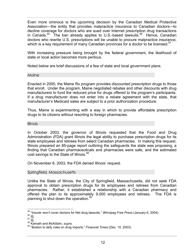<span id="page-14-0"></span>Even more ominous is the upcoming decision by the Canadian Medical Protective Association—the entity that provides malpractice insurance to Canadian doctors—to decline coverage for doctors who are sued over Internet prescription drug transactions in Canada.<sup>55</sup> The ban already applies to U.S.-based lawsuits.<sup>56</sup> Hence, Canadian doctors who rewrite U.S. prescriptions will be unable to procure malpractice insurance, which is a key requirement of many Canadian provinces for a doctor to be licensed.<sup>[57](#page-14-3)</sup>

With increasing pressure being brought by the federal government, the likelihood of state or local action becomes more perilous.

Noted below are brief discussions of a few of state and local government plans.

#### Maine

Enacted in 2000, the Maine Rx program provides discounted prescription drugs to those that enroll. Under the program, Maine negotiated rebates and other discounts with drug manufacturers to fund the reduced price for drugs offered to the program's participants. If a drug manufacturer does not enter into a rebate agreement with the state, that manufacturer's Medicaid sales are subject to a prior authorization procedure.

Thus, Maine is experimenting with a way in which to provide affordable prescription drugs to its citizens without resorting to foreign pharmacies.

#### Illinois

In October 2003, the governor of Illinois requested that the Food and Drug Administration (FDA) grant Illinois the legal ability to purchase prescription drugs for its state employees and retirees from select Canadian pharmacies. In making this request, Illinois prepared an 85-page report outlining the safeguards the state was proposing, a finding that Canadian pharmaceuticals and pharmacies were safe, and the estimated cost savings to the State of Illinois.<sup>[58](#page-14-4)</sup>

On November 6, 2003, the FDA denied Illinois' request.

#### Springfield, Massachusetts

Unlike the State of Illinois, the City of Springfield, Massachusetts, did not seek FDA approval to obtain prescription drugs for its employees and retirees from Canadian pharmacies. Rather, it established a relationship with a Canadian pharmacy and offered the plan to its approximately 9,000 employees and retirees. The FDA is planning to shut down the operation.<sup>[59](#page-14-5)</sup>

<span id="page-14-1"></span>l <sup>55</sup> "Insurer won't cover doctors for Net drug lawsuits," *Winnipeg Free Press* (January 6, 2004).<br><sup>56</sup> <u>Id.</u><br><sup>57</sup> <u>Id.</u><br><sup>58</sup> Kamath and McKibbin, *supra*.<br><sup>59</sup> "Boston to defy rules on drug imports," *Financial Times* (De

<span id="page-14-2"></span>

<span id="page-14-3"></span>

<span id="page-14-4"></span>

<span id="page-14-5"></span>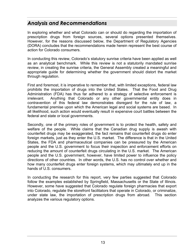## <span id="page-15-0"></span>*Analysis and Recommendations*

In exploring whether and what Colorado can or should do regarding the importation of prescription drugs from foreign sources, several options presented themselves. However, for the reasons discussed below, the Department of Regulatory Agencies (DORA) concludes that the recommendations made herein represent the best course of action for Colorado consumers.

In conducting this review, Colorado's statutory sunrise criteria have been applied as well as an analytical benchmark. While this review is not a statutorily mandated sunrise review, in creating the sunrise criteria, the General Assembly created a meaningful and appropriate guide for determining whether the government should distort the market through regulation.

First and foremost, it is imperative to remember that, with limited exceptions, federal law prohibits the importation of drugs into the United States. That the Food and Drug Administration (FDA) has thus far adhered to a strategy of selective enforcement is irrelevant. Anything that Colorado or any other governmental entity does in contravention of this federal law demonstrates disregard for the rule of law, a fundamental premise upon which the American legal and social systems are based. In all likelihood, such action would eventually result in expensive court battles between the federal and state or local governments.

Secondly, one of the primary roles of government is to protect the health, safety and welfare of the people. While claims that the Canadian drug supply is awash with counterfeit drugs may be exaggerated, the fact remains that counterfeit drugs do enter foreign markets, just as they enter the U.S. market. The difference is that in the United States, the FDA and pharmaceutical companies can be pressured by the American people and the U.S. government to focus their inspection and enforcement efforts on reducing the amount of counterfeit drugs circulating in the U.S. market. The American people and the U.S. government, however, have limited power to influence the policy directions of other countries. In other words, the U.S. has no control over whether and how many counterfeit drugs enter foreign systems, which may ultimately end up in the hands of U.S. consumers.

In conducting the research for this report, very few parties suggested that Colorado follow the examples established by Springfield, Massachusetts or the State of Illinois. However, some have suggested that Colorado regulate foreign pharmacies that export into Colorado, regulate the storefront facilitators that operate in Colorado, or criminalize, under state law, the importation of prescription drugs from abroad. This section analyzes the various regulatory options.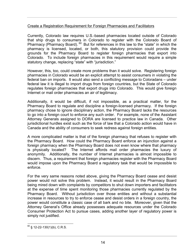#### Create a Registration Requirement for Foreign Pharmacies and Facilitators

Currently, Colorado law requires U.S.-based pharmacies located outside of Colorado that ship drugs to consumers in Colorado to register with the Colorado Board of Pharmacy (Pharmacy Board). [60](#page-16-0) But for references in this law to the "state" in which the pharmacy is licensed, located, or both, this statutory provision could provide the grounds for the Pharmacy Board to register foreign pharmacies that export into Colorado. To include foreign pharmacies in this requirement would require a simple statutory change, replacing "state" with "jurisdiction."

However, this, too, could create more problems than it would solve. Registering foreign pharmacies in Colorado would be an explicit attempt to assist consumers in violating the federal ban on imports. It would also send a conflicting message to Coloradans – under federal law it is illegal to import drugs from foreign countries, but the State of Colorado regulates foreign pharmacies that export drugs into Colorado. This would give foreign Internet or mail order pharmacies an air of legitimacy.

Additionally, it would be difficult, if not impossible, as a practical matter, for the Pharmacy Board to regulate and discipline a foreign-licensed pharmacy. If the foreign pharmacy chose to ignore disciplinary action, the Pharmacy Board lacks the resources to go into a foreign court to enforce any such order. For example, none of the Assistant Attorney Generals assigned to DORA are licensed to practice law in Canada. Other jurisdictional hurdles exist such as the force of law that a Colorado action would have in Canada and the ability of consumers to seek redress against foreign entities.

A more complicated matter is that of the foreign pharmacy that refuses to register with the Pharmacy Board. How could the Pharmacy Board enforce an injunction against a foreign pharmacy when the Pharmacy Board does not even know where that pharmacy is physically located? The Internet affords mail order pharmacies the luxury of anonymity. Additionally, the number of Internet pharmacies is almost impossible to discern. Thus, a requirement that foreign pharmacies register with the Pharmacy Board would impose upon the Pharmacy Board a regulatory task that would be impossible to enforce.

For the very same reasons noted above, giving the Pharmacy Board cease and desist power would not solve this problem. Instead, it would result in the Pharmacy Board being mired down with complaints by competitors to shut down importers and facilitators at the expense of time spent monitoring those pharmacies currently regulated by the Pharmacy Board. Without jurisdiction over those entities and without a substantial increase in resources to try to enforce cease and desist orders in a foreign country, the power would constitute a classic case of all bark and no bite. Moreover, given that the Attorney General's Office already possesses adequate resources under the Colorado Consumer Protection Act to pursue cases, adding another layer of regulatory power is simply not justified.

<span id="page-16-0"></span> $60 \text{ }$  \$ 12-22-130(1)(b), C.R.S.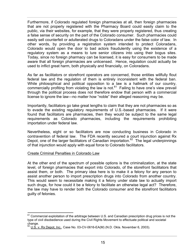Furthermore, if Colorado regulated foreign pharmacies at all, then foreign pharmacies that are not properly registered with the Pharmacy Board could easily claim to the public, via their websites, for example, that they were properly registered, thus creating a false sense of security on the part of the Colorado consumer. Such pharmacies could easily sell counterfeit or adulterated drugs to Coloradans under the false color of law. In other words, by providing a registration system intended to protect Coloradans, Colorado would open the door to bad actors fraudulently using the existence of a regulatory system as a means to lure senior citizens into using their bogus sites. Today, since no foreign pharmacy can be licensed, it is easy for consumers to be made aware that all foreign pharmacies are unlicensed. Hence, regulation could actually be used to inflict great harm, both physically and financially, on Coloradans.

As far as facilitators or storefront operators are concerned, those entities willfully flout federal law and the regulation of them is entirely inconsistent with the federal ban. While philosophical and political opposition to a law is a hallmark of our country, commercially profiting from violating the law is not. $61$  Failing to have one's view prevail through the political process does not therefore endow that person with a commercial license to ignore the law—no matter how "noble" their alleged reasoning may be.

Importantly, facilitators go take great lengths to claim that they are not pharmacies so as to evade the existing regulatory requirements of U.S.-based pharmacies. If it were found that facilitators are pharmacies, then they would be subject to the same legal requirements as Colorado pharmacies, including the requirements prohibiting importation under federal law.

Nevertheless, eight or so facilitators are now conducting business in Colorado in contravention of federal law. The FDA recently secured a court injunction against Rx Depot, one of the larger facilitators of Canadian importation.<sup>62</sup> The legal underpinnings of that injunction would apply with equal force to Colorado facilitators.

#### Create Criminal Penalties in Colorado Law

At the other end of the spectrum of possible options is the criminalization, at the state level, of foreign pharmacies that export into Colorado, of the storefront facilitators that assist them, or both. The primary idea here is to make it a felony for any person to assist another person to import prescription drugs into Colorado from another country. This would seem to necessitate making it a felony under state law to actually import such drugs, for how could it be a felony to facilitate an otherwise legal act? Therefore, the law may have to render both the Colorado consumer and the storefront facilitators guilty of felonies.

<span id="page-17-0"></span> <sup>61</sup> Commercial exploitation of the arbitrage between U.S. and Canadian prescription drug prices is not the type of civil disobedience used during the Civil Rights Movement to effectuate political and societal<br>change.<br> $\frac{62}{10}$ 

<span id="page-17-1"></span>U.S. v. Rx Depot, Inc., Case No. 03-CV-0616-EA(M) (N.D. Okla. November 6, 2003).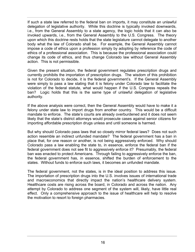If such a state law referred to the federal ban on imports, it may constitute an unlawful delegation of legislative authority. While this doctrine is typically invoked downwards, i.e., from the General Assembly to a state agency, the logic holds that it can also be invoked upwards, i.e., from the General Assembly to the U.S. Congress. The theory upon which this doctrine rests holds that the state legislature cannot delegate to another body what the law of Colorado shall be. For example, the General Assembly cannot impose a code of ethics upon a profession simply by adopting by reference the code of ethics of a professional association. This is because the professional association could change its code of ethics, and thus change Colorado law without General Assembly action. This is not permissible.

Given the present situation, the federal government regulates prescription drugs and currently prohibits the importation of prescription drugs. The wisdom of this prohibition is not for Colorado to decide, it is the federal government's. If the General Assembly were simply to pass a law stating that it is felony under Colorado law to facilitate the violation of the federal statute, what would happen if the U.S. Congress repeals the ban? Logic holds that this is the same type of unlawful delegation of legislative authority.

If the above analysis were correct, then the General Assembly would have to make it a felony under state law to import drugs from another country. This would be a difficult mandate to enforce. The state's courts are already overburdened and it does not seem likely that the state's district attorneys would prosecute cases against senior citizens for importing affordable prescription drugs unless and until someone is harmed.

But why should Colorado pass laws that so closely mirror federal laws? Does not such action resemble an indirect unfunded mandate? The federal government has a ban in place that, for one reason or another, is not being aggressively enforced. Why should Colorado pass a law enabling the state to, in essence, enforce the federal ban if the federal government does not see fit to aggressively enforce it? Presumably, the federal ban was enacted to protect Americans. Through failing to aggressively enforce the ban, the federal government has, in essence, shifted the burden of enforcement to the states. Without funds to enforce such laws, it becomes an unfunded mandate.

The federal government, not the states, is in the ideal position to address this issue. The importation of prescription drugs into the U.S. involves issues of international trade and macroeconomics that directly impact the nation's healthcare delivery system. Healthcare costs are rising across the board, in Colorado and across the nation. Any attempt by Colorado to address one segment of the system will, likely, have little real effect. Only a comprehensive approach to the issue of healthcare will help to resolve the motivation to resort to foreign pharmacies.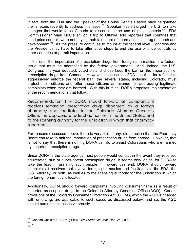<span id="page-19-0"></span>In fact, both the FDA and the Speaker of the House Dennis Hastert have heightened their rhetoric recently to address this issue.<sup>63</sup> Speaker Hastert urged the U.S. to make changes that would force Canada to discontinue the use of price controls.<sup>64</sup> FDA Commissioner Mark McClellan, on a trip to Ottawa, told reporters that countries that used price controls were not paying their fair share of pharmaceutical drug research and development[.65](#page-19-3) As the pressure continues to mount at the federal level, Congress and the President may have to take affirmative steps to end the use of price controls by other countries or permit importation.

In the end, the importation of prescription drugs from foreign pharmacies is a federal issue that must be addressed by the federal government. And, indeed, the U.S. Congress this year debated, voted on and chose keep the ban on the importation of prescription drugs from Canada. However, because the FDA has thus far refused to aggressively enforce the federal ban, the several states, including Colorado, must protect their citizens and offer those citizens an avenue for addressing legitimate complaints when they are harmed. With this in mind, DORA proposes implementation of the recommendations that follow.

Recommendation 1 – DORA should forward all complaints it receives regarding prescription drugs dispensed by a foreign pharmacy and facilitator to the Colorado Attorney General's Office, the appropriate federal authorities in the United States, and to the licensing authority for the jurisdiction in which that pharmacy is located.

For reasons discussed above, there is very little, if any, direct action that the Pharmacy Board can take to halt the importation of prescription drugs from abroad. However, that is not to say that there is nothing DORA can do to assist Coloradans who are harmed by imported prescription drugs.

Since DORA is the state agency most people would contact in the event they received adulterated, sub or super-potent prescription drugs, it seems only logical for DORA to take the lead in assisting such people. Toward this end, DORA should forward complaints it receives that involve foreign pharmacies and facilitators to the FDA, the U.S. Attorney, or both, as well as to the licensing authority for the jurisdiction in which the foreign pharmacy is located.

Additionally, DORA should forward complaints involving consumer harm as a result of imported prescription drugs to the Colorado Attorney General's Office (AGO). Certain provisions of the Colorado Consumer Protection Act (CCPA), which the AGO is charged with enforcing, are applicable to such cases as discussed below, and so, the AGO should pursue such cases vigorously.

17

l  $^{63}_{64}$  "Canada Cools to U.S. Drug Flow," *Wall Street Journal* (Dec. 26, 2003).<br> $^{64}_{64}$  <u>Id.</u><br> $^{65}_{14}$ 

<span id="page-19-3"></span><span id="page-19-2"></span><span id="page-19-1"></span>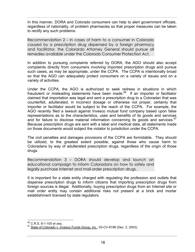<span id="page-20-0"></span>In this manner, DORA and Colorado consumers can help to alert government officials, regardless of nationality, of problem pharmacies so that proper measures can be taken to rectify any such problems.

Recommendation 2 – In cases of harm to a consumer in Colorado caused by a prescription drug dispensed by a foreign pharmacy and facilitator, the Colorardo Attorney General should pursue all remedies available under the Colorado Consumer Protection Act.

In addition to pursuing complaints referred by DORA, the AGO should also accept complaints directly from consumers involving imported prescription drugs and pursue such cases, as may be appropriate, under the CCPA. The CCPA is intentionally broad so that the AGO can adequately protect consumers on a variety of issues and on a variety of activities.

Under the CCPA, the AGO is authorized to seek redress in situations in which fraudulent or misleading statements have been made. $66$  If an importer or facilitator claimed that importation was legal and sent a prescription drug to a Coloradan that was counterfeit, adulterated, in incorrect dosage or otherwise not proper, certainly that importer or facilitator would be subject to the reach of the CCPA. For example, the AGO recently filed a lawsuit against Invesco mutual fund company based upon false representations as to the characteristics, uses and benefits of its goods and services and for failure to disclose material information concerning its goods and services.<sup>67</sup> Because prescription drugs are sent with a label and medical data, all statements made on those documents would subject the violator to jurisdiction under the CCPA.

The civil penalties and damages provisions of the CCPA are formidable. They should be utilized, to the greatest extent possible, against those who cause harm to Coloradans by way of adulterated prescription drugs, regardless of the origin of those drugs.

Recommendation 3 – DORA should develop and launch an educational campaign to inform Coloradans on how to safely and legally purchase Internet and mail-order prescription drugs.

It is important for a state entity charged with regulating the profession and outlets that dispense prescription drugs to inform citizens that importing prescription drugs from foreign sources is illegal. Additionally, buying prescription drugs from an Internet site or mail order entity may contain additional risks not present at a brick and mortar establishment licensed by state regulators.

<span id="page-20-1"></span><sup>66</sup> C.R.S. 6-1-105 et seq.

<span id="page-20-2"></span>State of Colorado v. Invesco Funds Group, Inc., 03-CV-9199 (Dec. 2, 2003).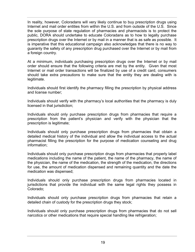In reality, however, Coloradans will very likely continue to buy prescription drugs using Internet and mail order entities from within the U.S. and from outside of the U.S. Since the sole purpose of state regulation of pharmacies and pharmacists is to protect the public, DORA should undertake to educate Coloradans as to how to legally purchase prescription drugs over the Internet or by mail in a manner that is as safe as possible. It is imperative that this educational campaign also acknowledges that there is no way to guaranty the safety of any prescription drug purchased over the Internet or by mail from a foreign country.

At a minimum, individuals purchasing prescription drugs over the Internet or by mail order should ensure that the following criteria are met by the entity. Given that most Internet or mail order transactions will be finalized by use of a credit card, consumers should take extra precautions to make sure that the entity they are dealing with is legitimate.

Individuals should first identify the pharmacy filling the prescription by physical address and license number;

Individuals should verify with the pharmacy's local authorities that the pharmacy is duly licensed in that jurisdiction;

Individuals should only purchase prescription drugs from pharmacies that require a prescription from the patient's physician and verify with the physician that the prescription is legitimate;

Individuals should only purchase prescription drugs from pharmacies that obtain a detailed medical history of the individual and allow the individual access to the actual pharmacist filling the prescription for the purpose of medication counseling and drug information;

Individuals should only purchase prescription drugs from pharmacies that properly label medications including the name of the patient, the name of the pharmacy, the name of the physician, the name of the medication, the strength of the medication, the directions for use, the amount of medication dispensed and remaining quantity and the date the medication was dispensed;

Individuals should only purchase prescription drugs from pharmacies located in jurisdictions that provide the individual with the same legal rights they possess in Colorado;

Individuals should only purchase prescription drugs from pharmacies that retain a detailed chain of custody for the prescription drugs they stock;

Individuals should only purchase prescription drugs from pharmacies that do not sell narcotics or other medications that require special handling like refrigeration;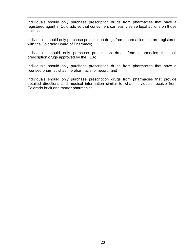Individuals should only purchase prescription drugs from pharmacies that have a registered agent in Colorado so that consumers can easily serve legal actions on those entities;

Individuals should only purchase prescription drugs from pharmacies that are registered with the Colorado Board of Pharmacy;

Individuals should only purchase prescription drugs from pharmacies that sell prescription drugs approved by the FDA;

Individuals should only purchase prescription drugs from pharmacies that have a licensed pharmacist as the pharmacist of record; and

Individuals should only purchase prescription drugs from pharmacies that provide detailed directions and medical information similar to what individuals receive from Colorado brick and mortar pharmacies.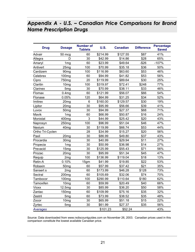## <span id="page-23-0"></span>*Appendix A - U.S. – Canadian Price Comparisons for Brand Name Prescription Drugs*

| <b>Drug</b>      | <b>Dosage</b>     | <b>Number of</b><br><b>Tablets</b> | <b>U.S.</b> | <b>Canadian</b> | <b>Difference</b> | <b>Percentage</b><br><b>Saved</b> |
|------------------|-------------------|------------------------------------|-------------|-----------------|-------------------|-----------------------------------|
| Advair           | 50 mcg            | 60                                 | \$214.99    | \$127.55        | \$87              | 41%                               |
| Allegra          | D                 | 30                                 | \$42.99     | \$14.86         | \$28              | 65%                               |
| Amaryl           | 1 <sub>mg</sub>   | 60                                 | \$23.99     | \$49.64         | $-$ \$26          | $-107%$                           |
| Antivert         | 25mg              | 100                                | \$70.99     | \$35.18         | \$36              | 50%                               |
| Cardizem         | 90 <sub>mg</sub>  | 100                                | \$116.99    | \$63.60         | \$53              | 46%                               |
| Celebrex         | 100 <sub>mg</sub> | 60                                 | \$94.99     | \$41.82         | \$53              | 56%                               |
| Cipro            | 750 <sub>mg</sub> | 20                                 | \$119.99    | \$89.64         | \$30              | 25%                               |
| Claritin         | 10 <sub>mg</sub>  | 100                                | \$319.97    | \$72.41         | \$248             | 77%                               |
| Clarinex         | 5 <sub>mg</sub>   | 30                                 | \$70.99     | \$38.11         | \$33              | 46%                               |
| Flomax           | 0.4 <sub>mg</sub> | 60                                 | \$121.99    | \$56.07         | \$66              | 54%                               |
| Flonase          | 0.05%             | 120                                | \$64.99     | \$31.25         | \$34              | 52%                               |
| Imitrex          | 20 <sub>mg</sub>  | 6                                  | \$160.00    | \$129.57        | \$30              | 19%                               |
| Lipitor          | 20mg              | 30                                 | \$95.99     | \$56.66         | \$39              | 41%                               |
| Luvox            | 50 <sub>mg</sub>  | 30                                 | \$94.99     | \$27.37         | \$68              | 71%                               |
| Mavik            | 1 <sub>mg</sub>   | 60                                 | \$66.99     | \$50.87         | \$16              | 24%                               |
| Monistat         | 400mg             | 3                                  | \$44.99     | \$25.42         | \$20              | 43%                               |
| Naprosyn         | 250 <sub>mg</sub> | 100                                | \$96.99     | \$51.04         | \$46              | 47%                               |
| Nexium           | 40 <sub>mg</sub>  | 30                                 | \$119.99    | \$66.74         | \$53              | 44%                               |
| Ortho Tri-Cyclen |                   | 28                                 | \$34.99     | \$15.27         | \$20              | 56%                               |
| Paxil            | 20 <sub>mg</sub>  | 30                                 | \$86.99     | \$49.80         | \$37              | 43%                               |
| Procardia        | 30 <sub>mg</sub>  | 30                                 | \$40.99     | \$29.94         | \$11              | 27%                               |
| Propecia         | 1 <sub>mg</sub>   | 30                                 | \$50.99     | \$36.98         | \$14              | 27%                               |
| Prevacid         | 15mg              | 30                                 | \$125.99    | \$55.43         | \$71              | 56%                               |
| Prozac           | 20 <sub>mg</sub>  | 30                                 | \$95.99     | \$51.34         | \$45              | 47%                               |
| Requip           | 2 <sub>mg</sub>   | 100                                | \$136.99    | \$119.04        | \$18              | 13%                               |
| Retin-A          | 0.10%             | 15 <sub>gm</sub>                   | \$41.99     | \$19.85         | \$22              | 53%                               |
| Robaxin          | 50 <sub>mg</sub>  | 60                                 | \$57.99     | \$37.42         | \$21              | 35%                               |
| Sansert s        | 2 <sub>mg</sub>   | 60                                 | \$173.99    | \$46.28         | \$128             | 73%                               |
| Sectral          | 200mg             | 60                                 | \$105.69    | \$32.06         | \$74              | 70%                               |
| Tambocor         | 100 <sub>mg</sub> | 100                                | \$290.99    | \$110.64        | \$180             | 62%                               |
| Tamoxifen        | 10 <sub>mg</sub>  | 60                                 | \$59.99     | \$20.49         | \$40              | 66%                               |
| Vioxx            | 12.5mg            | 30                                 | \$85.99     | \$36.20         | \$50              | 58%                               |
| Zantac           | 150mg             | 60                                 | \$109.99    | \$75.16         | \$35              | 32%                               |
| Zestril          | 5 <sub>mg</sub>   | 60                                 | \$73.99     | \$38.52         | \$35              | 48%                               |
| Zocor            | 10 <sub>mg</sub>  | 30                                 | \$65.99     | \$51.18         | \$15              | 22%                               |
| Zyrtec           | 5 <sub>mg</sub>   | 30                                 | \$61.99     | \$27.37         | \$35              | 56%                               |
| Averages         |                   |                                    | \$101.23    | \$52.24         |                   | 43%                               |

Source: Data downloaded from www.rxdiscountguides.com on November 26, 2003. Canadian prices used in this comparison constitute the lowest available Canadian price.